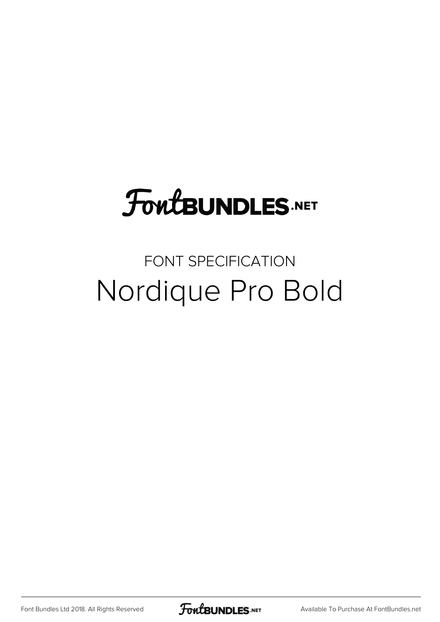## **FoutBUNDLES.NET**

#### FONT SPECIFICATION Nordique Pro Bold

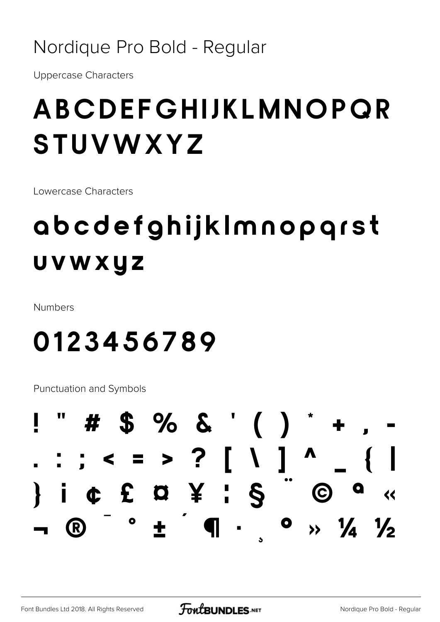#### Nordique Pro Bold - Regular

**Uppercase Characters** 

### ABCDEFGHIJKLMNOPQR STUVWXYZ

Lowercase Characters

### abcdefghijklmnopqrst UVWXYZ

Numbers

#### 0123456789

**Punctuation and Symbols** 

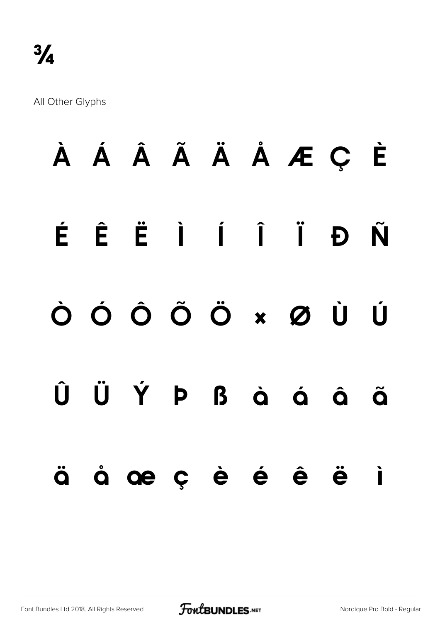All Other Glyphs

# **À Á Â Ã Ä Å Æ Ç È É Ê Ë Ì Í Î Ï Ð Ñ Ò Ó Ô Õ Ö × Ø Ù Ú Û Ü Ý Þ ß à á â ã ä å æ ç è é ê ë ì**

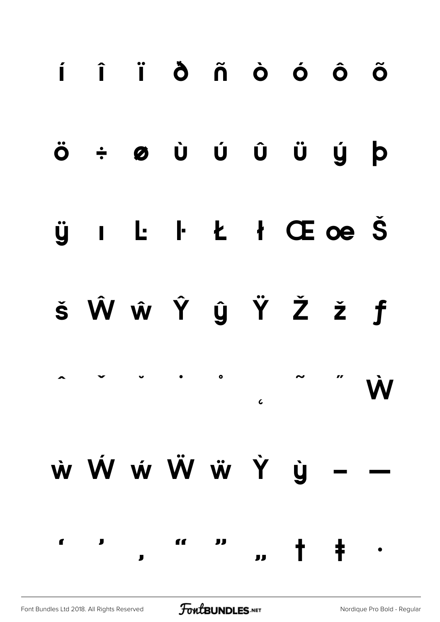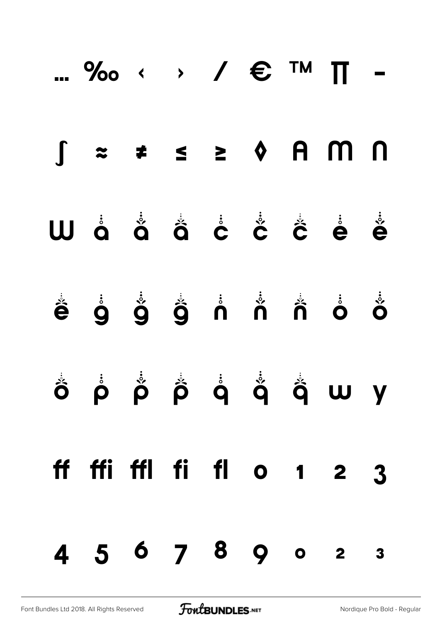|  |  |  | ‰ $\longleftrightarrow$ / $\epsilon$ ™ $\pi$ - |  |
|--|--|--|------------------------------------------------|--|
|  |  |  | $\int z \neq s$ > $\Diamond$ A M N             |  |
|  |  |  | W å å å å å å å å å                            |  |
|  |  |  |                                                |  |
|  |  |  | Ô P P P Q Q Q Q W Y                            |  |
|  |  |  | ff ffi ffl fi fl o 1 2 3                       |  |
|  |  |  | 4 5 6 7 8 9 0 2 3                              |  |